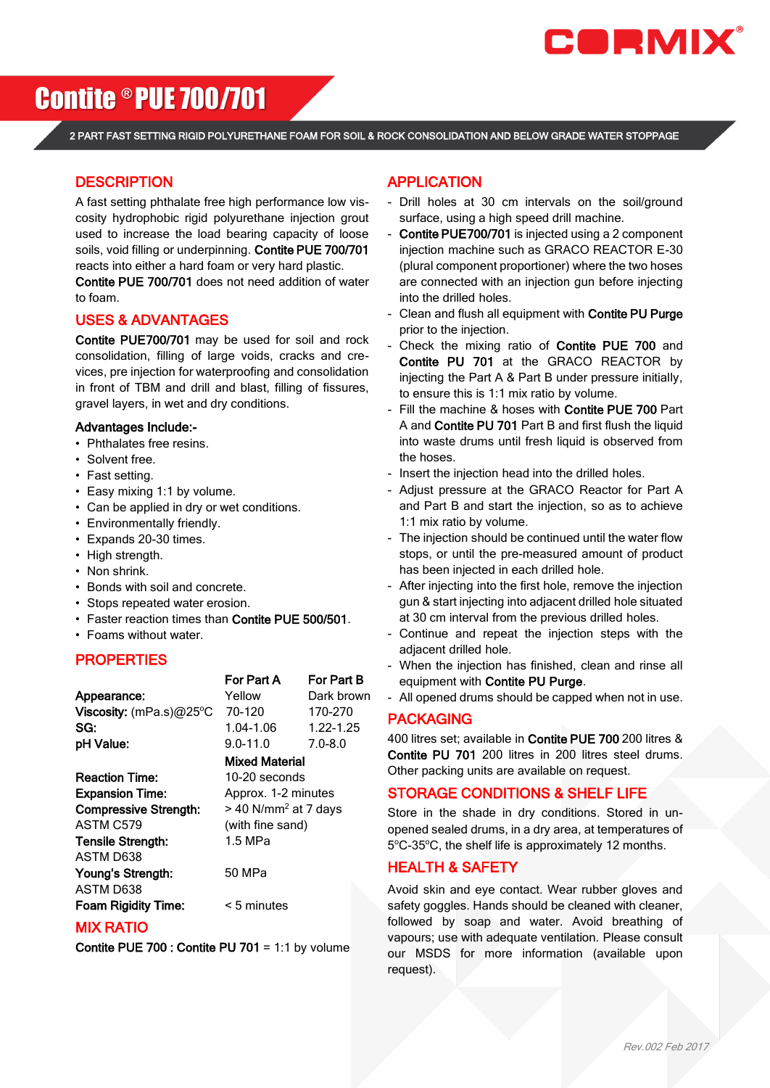

# Contite ® PUE 700/701

2 PART FAST SETTING RIGID POLYURETHANE FOAM FOR SOIL & ROCK CONSOLIDATION AND BELOW GRADE WATER STOPPAGE

#### **DESCRIPTION**

A fast setting phthalate free high performance low viscosity hydrophobic rigid polyurethane injection grout used to increase the load bearing capacity of loose soils, void filling or underpinning. Contite PUE 700/701 reacts into either a hard foam or very hard plastic.

Contite PUE 700/701 does not need addition of water to foam.

#### USES & ADVANTAGES

Contite PUE700/701 may be used for soil and rock consolidation, filling of large voids, cracks and crevices, pre injection for waterproofing and consolidation in front of TBM and drill and blast, filling of fissures, gravel layers, in wet and dry conditions.

#### Advantages Include:-

- Phthalates free resins.
- Solvent free.
- Fast setting.
- Easy mixing 1:1 by volume.
- Can be applied in dry or wet conditions.
- Environmentally friendly.
- Expands 20-30 times.
- High strength.
- Non shrink.
- Bonds with soil and concrete.
- Stops repeated water erosion.
- Faster reaction times than Contite PUE 500/501.
- Foams without water.

#### **PROPERTIES**

|                           | For Part A            | For Part B  |
|---------------------------|-----------------------|-------------|
| Appearance:               | Yellow                | Dark brown  |
| Viscosity: $(mPa.s)@25°C$ | 70-120                | 170-270     |
| SG:                       | 1.04-1.06             | 1.22-1.25   |
| pH Value:                 | $9.0 - 11.0$          | $7.0 - 8.0$ |
|                           | <b>Mixed Material</b> |             |
| <b>Reaction Time:</b>     | 10-20 seconds         |             |
| <b>Expansion Time:</b>    | Approx. 1-2 minutes   |             |

**Compressive Strength:**  $> 40$  N/mm<sup>2</sup> at 7 days ASTM C579 (with fine sand) Tensile Strength: 1.5 MPa ASTM D638 Young's Strength: 50 MPa ASTM D638 Foam Rigidity Time: < 5 minutes

# MIX RATIO

Contite PUE 700 : Contite PU 701 = 1:1 by volume

## APPLICATION

- Drill holes at 30 cm intervals on the soil/ground surface, using a high speed drill machine.
- Contite PUE700/701 is injected using a 2 component injection machine such as GRACO REACTOR E-30 (plural component proportioner) where the two hoses are connected with an injection gun before injecting into the drilled holes.
- Clean and flush all equipment with Contite PU Purge prior to the injection.
- Check the mixing ratio of Contite PUE 700 and Contite PU 701 at the GRACO REACTOR by injecting the Part A & Part B under pressure initially, to ensure this is 1:1 mix ratio by volume.
- Fill the machine & hoses with Contite PUE 700 Part A and Contite PU 701 Part B and first flush the liquid into waste drums until fresh liquid is observed from the hoses.
- Insert the injection head into the drilled holes.
- Adjust pressure at the GRACO Reactor for Part A and Part B and start the injection, so as to achieve 1:1 mix ratio by volume.
- The injection should be continued until the water flow stops, or until the pre-measured amount of product has been injected in each drilled hole.
- After injecting into the first hole, remove the injection gun & start injecting into adjacent drilled hole situated at 30 cm interval from the previous drilled holes.
- Continue and repeat the injection steps with the adiacent drilled hole.
- When the injection has finished, clean and rinse all equipment with Contite PU Purge.
- All opened drums should be capped when not in use.

#### PACKAGING

400 litres set; available in Contite PUE 700 200 litres & Contite PU 701 200 litres in 200 litres steel drums. Other packing units are available on request.

### STORAGE CONDITIONS & SHELF LIFE

Store in the shade in dry conditions. Stored in unopened sealed drums, in a dry area, at temperatures of 5°C-35°C, the shelf life is approximately 12 months.

#### HEALTH & SAFETY

Avoid skin and eye contact. Wear rubber gloves and safety goggles. Hands should be cleaned with cleaner, followed by soap and water. Avoid breathing of vapours; use with adequate ventilation. Please consult our MSDS for more information (available upon request).